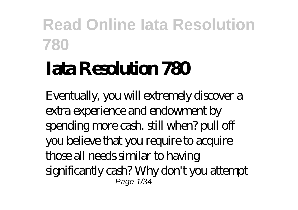# **Iata Resolution 780**

Eventually, you will extremely discover a extra experience and endowment by spending more cash. still when? pull off you believe that you require to acquire those all needs similar to having significantly cash? Why don't you attempt Page 1/34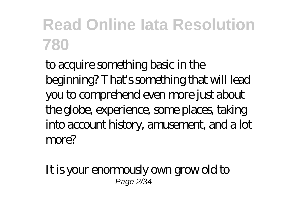to acquire something basic in the beginning? That's something that will lead you to comprehend even more just about the globe, experience, some places, taking into account history, amusement, and a lot more?

It is your enormously own grow old to Page 2/34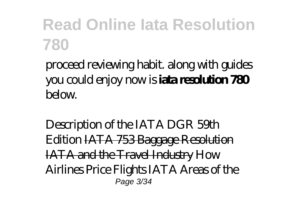proceed reviewing habit. along with guides you could enjoy now is **iata resolution 780**  $b$ elow.

Description of the IATA DGR 59th Edition IATA 753 Baggage Resolution IATA and the Travel Industry How Airlines Price Flights IATA Areas of the Page 3/34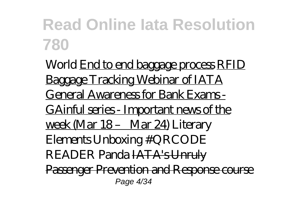World End to end baggage process RFID Baggage Tracking Webinar of IATA General Awareness for Bank Exams - GAinful series - Important news of the week (Mar 18 – Mar 24) *Literary Elements* Unboxing #QRCODE READER Panda IATA's Unruly Passenger Prevention and Response course Page 4/34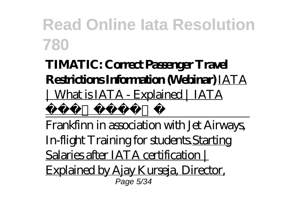#### **TIMATIC: Correct Passenger Travel Restrictions Information (Webinar)** IATA | What is IATA - Explained | IATA  $\overline{a}$

Frankfinn in association with Jet Airways, In-flight Training for students.Starting Salaries after IATA certification Explained by Ajay Kurseja, Director, Page 5/34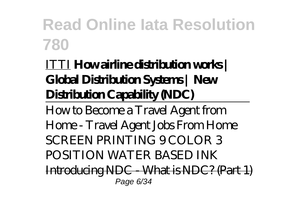#### ITTI **How airline distribution works | Global Distribution Systems | New Distribution Capability (NDC)**

How to Become a Travel Agent from Home - Travel Agent Jobs From Home *SCREEN PRINTING 9 COLOR 3 POSITION WATER BASED INK* Introducing NDC - What is NDC? (Part 1) Page 6/34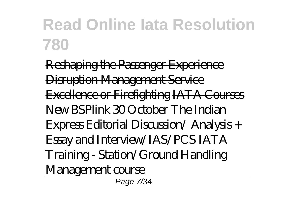Reshaping the Passenger Experience Disruption Management Service Excellence or Firefighting IATA Courses New BSPlink *30 October The Indian Express Editorial Discussion/ Analysis + Essay and Interview/IAS/PCS IATA Training - Station/Ground Handling Management course* Page 7/34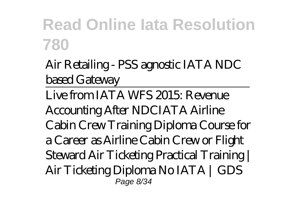Air Retailing - PSS agnostic IATA NDC based Gateway

Live from IATA WFS 2015: Revenue Accounting After NDC*IATA Airline Cabin Crew Training Diploma Course for a Career as Airline Cabin Crew or Flight Steward Air Ticketing Practical Training | Air Ticketing Diploma No IATA | GDS* Page 8/34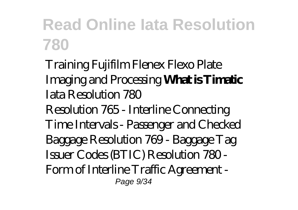#### *Training Fujifilm Flenex Flexo Plate Imaging and Processing* **What is Timatic** *Iata Resolution 780* Resolution 765 - Interline Connecting Time Intervals - Passenger and Checked Baggage Resolution 769 - Baggage Tag Issuer Codes (BTIC) Resolution 780 - Form of Interline Traffic Agreement - Page  $9/34$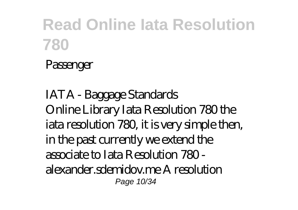#### Passenger

*IATA - Baggage Standards* Online Library Iata Resolution 780 the iata resolution 780, it is very simple then, in the past currently we extend the associate to Iata Resolution 780 alexander.sdemidov.me A resolution Page 10/34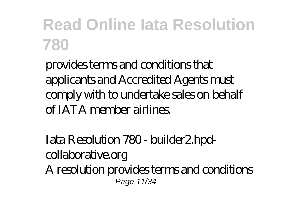provides terms and conditions that applicants and Accredited Agents must comply with to undertake sales on behalf of IATA member airlines.

*Iata Resolution 780 - builder2.hpdcollaborative.org* A resolution provides terms and conditions Page 11/34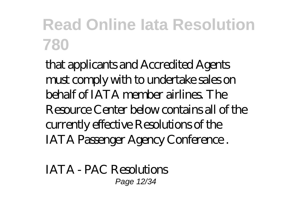that applicants and Accredited Agents must comply with to undertake sales on behalf of IATA member airlines. The Resource Center below contains all of the currently effective Resolutions of the IATA Passenger Agency Conference .

*IATA - PAC Resolutions* Page 12/34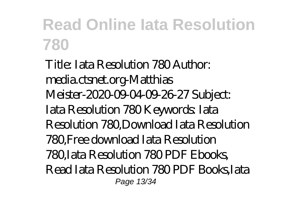Title: Iata Resolution 780 Author: media.ctsnet.org-Matthias Meister-2020-09-04-09-26-27 Subject: Iata Resolution 780 Keywords: Iata Resolution 780,Download Iata Resolution 780,Free download Iata Resolution 780,Iata Resolution 780 PDF Ebooks, Read Iata Resolution 780 PDF Books,Iata Page 13/34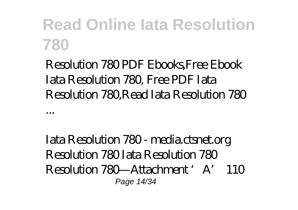Resolution 780 PDF Ebooks,Free Ebook Iata Resolution 780, Free PDF Iata Resolution 780,Read Iata Resolution 780

...

*Iata Resolution 780 - media.ctsnet.org* Resolution 780 Iata Resolution 780 Resolution 780—Attachment 'A' 110 Page 14/34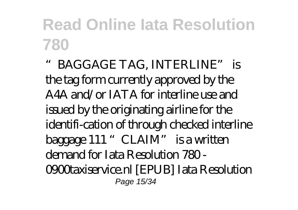"BAGGAGE TAG, INTERLINE" is the tag form currently approved by the A4A and/or IATA for interline use and issued by the originating airline for the identifi-cation of through checked interline baggage 111 "CLAIM" is a written demand for Iata Resolution 780 - 0900taxiservice.nl [EPUB] Iata Resolution Page 15/34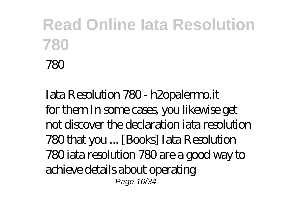#### *Iata Resolution 780 - h2opalermo.it* for them In some cases, you likewise get not discover the declaration iata resolution 780 that you ... [Books] Iata Resolution 780 iata resolution 780 are a good way to achieve details about operating Page 16/34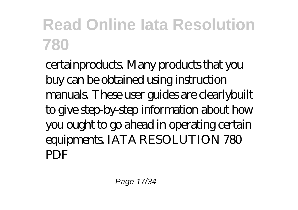certainproducts. Many products that you buy can be obtained using instruction manuals. These user guides are clearlybuilt to give step-by-step information about how you ought to go ahead in operating certain equipments. IATA RESOLUTION 780 PDF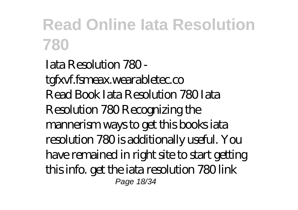*Iata Resolution 780 tgfxvf.fsmeax.wearabletec.co* Read Book Iata Resolution 780 Iata Resolution 780 Recognizing the mannerism ways to get this books iata resolution 780 is additionally useful. You have remained in right site to start getting this info. get the iata resolution 780 link Page 18/34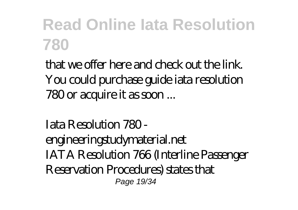that we offer here and check out the link. You could purchase guide iata resolution 780 or acquire it as soon ...

*Iata Resolution 780 engineeringstudymaterial.net* IATA Resolution 766 (Interline Passenger Reservation Procedures) states that Page 19/34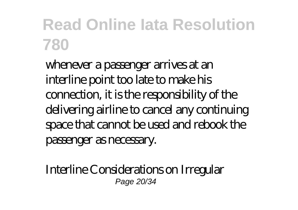whenever a passenger arrives at an interline point too late to make his connection, it is the responsibility of the delivering airline to cancel any continuing space that cannot be used and rebook the passenger as necessary.

*Interline Considerations on Irregular* Page 20/34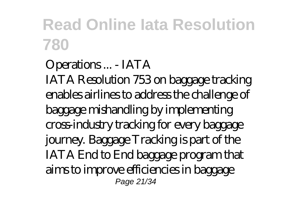*Operations ... - IATA* IATA Resolution 753 on baggage tracking enables airlines to address the challenge of baggage mishandling by implementing cross-industry tracking for every baggage journey. Baggage Tracking is part of the IATA End to End baggage program that aims to improve efficiencies in baggage Page 21/34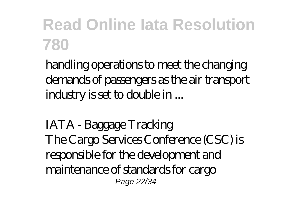handling operations to meet the changing demands of passengers as the air transport industry is set to double in ...

*IATA - Baggage Tracking* The Cargo Services Conference (CSC) is responsible for the development and maintenance of standards for cargo Page 22/34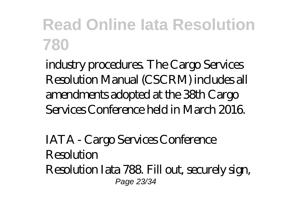industry procedures. The Cargo Services Resolution Manual (CSCRM) includes all amendments adopted at the 38th Cargo Services Conference held in March 2016.

*IATA - Cargo Services Conference Resolution* Resolution Iata 788. Fill out, securely sign, Page 23/34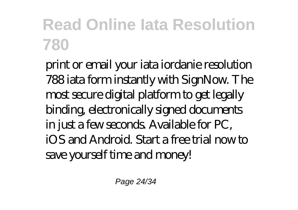print or email your iata iordanie resolution 788 iata form instantly with SignNow. The most secure digital platform to get legally binding, electronically signed documents in just a few seconds. Available for PC, iOS and Android. Start a free trial now to save yourself time and money!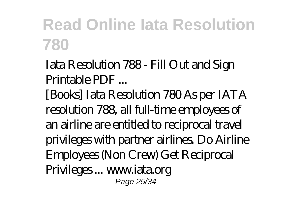*Iata Resolution 788 - Fill Out and Sign Printable PDF ...*

[Books] Iata Resolution 780 As per IATA resolution 788, all full-time employees of an airline are entitled to reciprocal travel privileges with partner airlines. Do Airline Employees (Non Crew) Get Reciprocal Privileges ... www.iata.org Page 25/34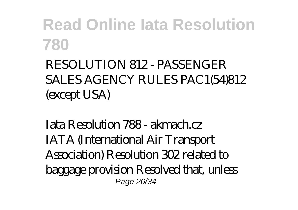#### RESOLUTION 812 - PASSENGER SALES AGENCY RULES PAC1(54)812 (except USA)

*Iata Resolution 788 - akmach.cz* IATA (International Air Transport Association) Resolution 302 related to baggage provision Resolved that, unless Page 26/34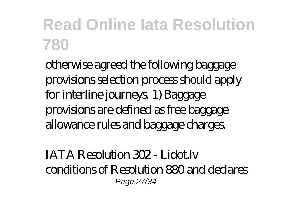otherwise agreed the following baggage provisions selection process should apply for interline journeys. 1) Baggage provisions are defined as free baggage allowance rules and baggage charges.

*IATA Resolution 302 - Lidot.lv* conditions of Resolution 880 and declares Page 27/34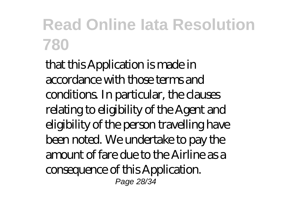that this Application is made in accordance with those terms and conditions. In particular, the clauses relating to eligibility of the Agent and eligibility of the person travelling have been noted. We undertake to pay the amount of fare due to the Airline as a consequence of this Application. Page 28/34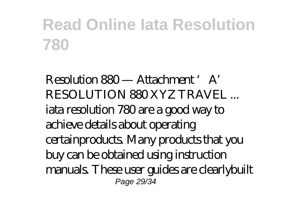*Resolution 880 — Attachment 'A' RESOLUTION 880 XYZ TRAVEL ...* iata resolution 780 are a good way to achieve details about operating certainproducts. Many products that you buy can be obtained using instruction manuals. These user guides are clearlybuilt Page 29/34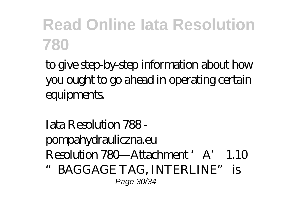to give step-by-step information about how you ought to go ahead in operating certain equipments.

#### *Iata Resolution 788 pompahydrauliczna.eu* Resolution 780—Attachment 'A' 1.10

"BAGGAGE TAG, INTERLINE" is Page 30/34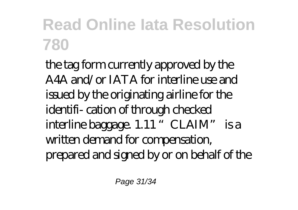the tag form currently approved by the A4A and/or IATA for interline use and issued by the originating airline for the identifi- cation of through checked interline baggage. 1.11 "CLAIM" is a written demand for compensation, prepared and signed by or on behalf of the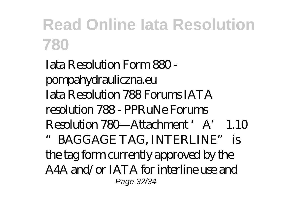*Iata Resolution Form 880 pompahydrauliczna.eu* Iata Resolution 788 Forums IATA resolution 788 - PPRuNe Forums Resolution 780—Attachment 'A' 1.10 "BAGGAGE TAG, INTERLINE" is the tag form currently approved by the A4A and/or IATA for interline use and Page 32/34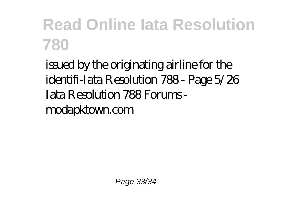issued by the originating airline for the identifi-Iata Resolution 788 - Page 5/26 Iata Resolution 788 Forums modapktown.com